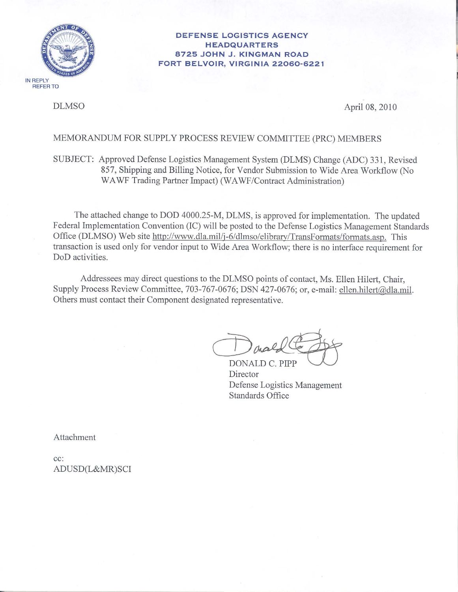

#### **DEFENSE LOGISTICS AGENCY HEADQUARTERS** 8725 JOHN J. KINGMAN ROAD FORT BELVOIR, VIRGINIA 22060-6221

**DLMSO** 

April 08, 2010

## MEMORANDUM FOR SUPPLY PROCESS REVIEW COMMITTEE (PRC) MEMBERS

# SUBJECT: Approved Defense Logistics Management System (DLMS) Change (ADC) 331, Revised 857, Shipping and Billing Notice, for Vendor Submission to Wide Area Workflow (No WAWF Trading Partner Impact) (WAWF/Contract Administration)

The attached change to DOD 4000.25-M, DLMS, is approved for implementation. The updated Federal Implementation Convention (IC) will be posted to the Defense Logistics Management Standards Office (DLMSO) Web site http://www.dla.mil/j-6/dlmso/elibrary/TransFormats/formats.asp. This transaction is used only for vendor input to Wide Area Workflow; there is no interface requirement for DoD activities.

Addressees may direct questions to the DLMSO points of contact, Ms. Ellen Hilert, Chair, Supply Process Review Committee, 703-767-0676; DSN 427-0676; or, e-mail: ellen.hilert@dla.mil. Others must contact their Component designated representative.

DONALD C. PIPP Director Defense Logistics Management Standards Office

Attachment

 $cc$ : ADUSD(L&MR)SCI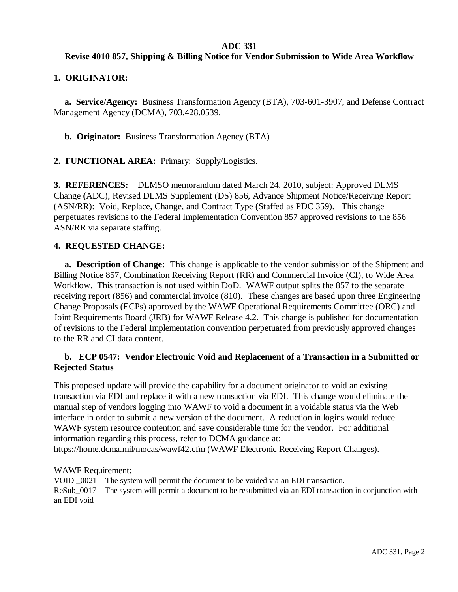#### **ADC 331**

## **Revise 4010 857, Shipping & Billing Notice for Vendor Submission to Wide Area Workflow**

#### **1. ORIGINATOR:**

**a. Service/Agency:** Business Transformation Agency (BTA), 703-601-3907, and Defense Contract Management Agency (DCMA), 703.428.0539.

**b. Originator:** Business Transformation Agency (BTA)

**2. FUNCTIONAL AREA:** Primary: Supply/Logistics.

**3. REFERENCES:** DLMSO memorandum dated March 24, 2010, subject: Approved DLMS Change **(**ADC), Revised DLMS Supplement (DS) 856, Advance Shipment Notice/Receiving Report (ASN/RR): Void, Replace, Change, and Contract Type (Staffed as PDC 359). This change perpetuates revisions to the Federal Implementation Convention 857 approved revisions to the 856 ASN/RR via separate staffing.

## **4. REQUESTED CHANGE:**

**a. Description of Change:** This change is applicable to the vendor submission of the Shipment and Billing Notice 857, Combination Receiving Report (RR) and Commercial Invoice (CI), to Wide Area Workflow. This transaction is not used within DoD. WAWF output splits the 857 to the separate receiving report (856) and commercial invoice (810). These changes are based upon three Engineering Change Proposals (ECPs) approved by the WAWF Operational Requirements Committee (ORC) and Joint Requirements Board (JRB) for WAWF Release 4.2. This change is published for documentation of revisions to the Federal Implementation convention perpetuated from previously approved changes to the RR and CI data content.

## **b. ECP 0547: Vendor Electronic Void and Replacement of a Transaction in a Submitted or Rejected Status**

This proposed update will provide the capability for a document originator to void an existing transaction via EDI and replace it with a new transaction via EDI. This change would eliminate the manual step of vendors logging into WAWF to void a document in a voidable status via the Web interface in order to submit a new version of the document. A reduction in logins would reduce WAWF system resource contention and save considerable time for the vendor. For additional information regarding this process, refer to DCMA guidance at: https://home.dcma.mil/mocas/wawf42.cfm (WAWF Electronic Receiving Report Changes).

WAWF Requirement:

VOID \_0021 – The system will permit the document to be voided via an EDI transaction. ReSub\_0017 – The system will permit a document to be resubmitted via an EDI transaction in conjunction with an EDI void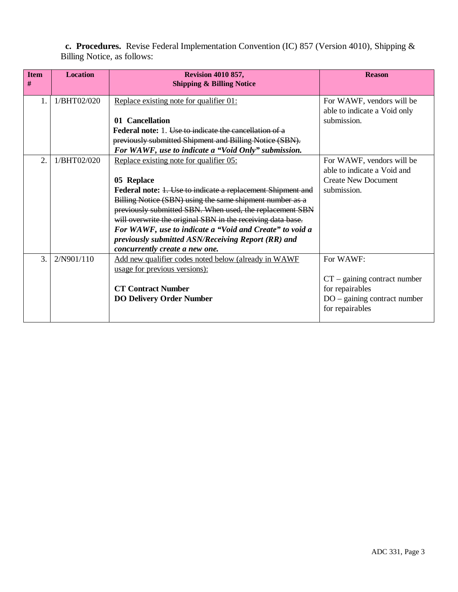**c. Procedures.** Revise Federal Implementation Convention (IC) 857 (Version 4010), Shipping & Billing Notice, as follows:

| <b>Item</b><br># | <b>Location</b> | <b>Revision 4010 857,</b><br><b>Shipping &amp; Billing Notice</b> | <b>Reason</b>                  |
|------------------|-----------------|-------------------------------------------------------------------|--------------------------------|
|                  | 1/BHT02/020     | Replace existing note for qualifier 01:                           | For WAWF, vendors will be      |
|                  |                 |                                                                   | able to indicate a Void only   |
|                  |                 | 01 Cancellation                                                   | submission.                    |
|                  |                 | <b>Federal note:</b> 1. Use to indicate the cancellation of a     |                                |
|                  |                 | previously submitted Shipment and Billing Notice (SBN).           |                                |
|                  |                 | For WAWF, use to indicate a "Void Only" submission.               |                                |
| $\overline{2}$ . | 1/BHT02/020     | Replace existing note for qualifier 05:                           | For WAWF, vendors will be      |
|                  |                 |                                                                   | able to indicate a Void and    |
|                  |                 | 05 Replace                                                        | <b>Create New Document</b>     |
|                  |                 | Federal note: 1. Use to indicate a replacement Shipment and       | submission.                    |
|                  |                 | Billing Notice (SBN) using the same shipment number as a          |                                |
|                  |                 | previously submitted SBN. When used, the replacement SBN          |                                |
|                  |                 | will overwrite the original SBN in the receiving data base.       |                                |
|                  |                 | For WAWF, use to indicate a "Void and Create" to void a           |                                |
|                  |                 | previously submitted ASN/Receiving Report (RR) and                |                                |
|                  |                 | concurrently create a new one.                                    |                                |
| 3.               | 2/N901/110      | Add new qualifier codes noted below (already in WAWF              | For WAWF:                      |
|                  |                 | usage for previous versions):                                     |                                |
|                  |                 |                                                                   | $CT$ – gaining contract number |
|                  |                 | <b>CT Contract Number</b>                                         | for repairables                |
|                  |                 | <b>DO Delivery Order Number</b>                                   | $DO - gaining contract number$ |
|                  |                 |                                                                   | for repairables                |
|                  |                 |                                                                   |                                |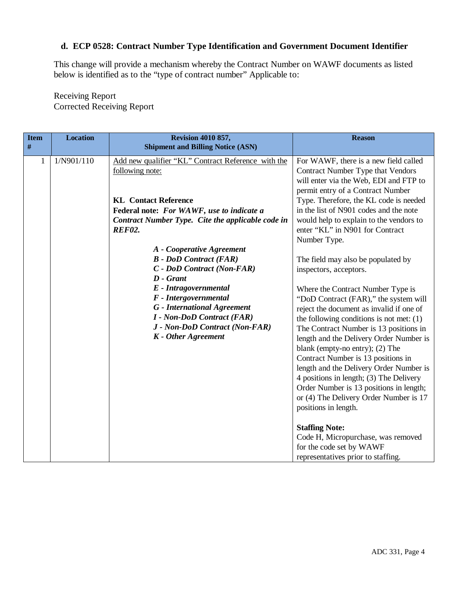## **d. ECP 0528: Contract Number Type Identification and Government Document Identifier**

This change will provide a mechanism whereby the Contract Number on WAWF documents as listed below is identified as to the "type of contract number" Applicable to:

Receiving Report Corrected Receiving Report

| <b>Item</b><br>$\#$ | <b>Location</b> | <b>Revision 4010 857,</b>                                                                                                                                                                                                                                                                                                                                                                                                                                                                                                                                            | <b>Reason</b>                                                                                                                                                                                                                                                                                                                                                                                                                                                                                                                                                                                                                                                                                                                                                                                                                                                                                                                                        |
|---------------------|-----------------|----------------------------------------------------------------------------------------------------------------------------------------------------------------------------------------------------------------------------------------------------------------------------------------------------------------------------------------------------------------------------------------------------------------------------------------------------------------------------------------------------------------------------------------------------------------------|------------------------------------------------------------------------------------------------------------------------------------------------------------------------------------------------------------------------------------------------------------------------------------------------------------------------------------------------------------------------------------------------------------------------------------------------------------------------------------------------------------------------------------------------------------------------------------------------------------------------------------------------------------------------------------------------------------------------------------------------------------------------------------------------------------------------------------------------------------------------------------------------------------------------------------------------------|
| $\mathbf{1}$        | 1/N901/110      | <b>Shipment and Billing Notice (ASN)</b><br>Add new qualifier "KL" Contract Reference with the<br>following note:<br><b>KL</b> Contact Reference<br>Federal note: For WAWF, use to indicate a<br>Contract Number Type. Cite the applicable code in<br><b>REF02.</b><br>A - Cooperative Agreement<br><b>B</b> - DoD Contract (FAR)<br>C - DoD Contract (Non-FAR)<br>$D$ - Grant<br>E - Intragovernmental<br>F - Intergovernmental<br><b>G</b> - International Agreement<br><b>I</b> - Non-DoD Contract (FAR)<br>J - Non-DoD Contract (Non-FAR)<br>K - Other Agreement | For WAWF, there is a new field called<br>Contract Number Type that Vendors<br>will enter via the Web, EDI and FTP to<br>permit entry of a Contract Number<br>Type. Therefore, the KL code is needed<br>in the list of N901 codes and the note<br>would help to explain to the vendors to<br>enter "KL" in N901 for Contract<br>Number Type.<br>The field may also be populated by<br>inspectors, acceptors.<br>Where the Contract Number Type is<br>"DoD Contract (FAR)," the system will<br>reject the document as invalid if one of<br>the following conditions is not met: $(1)$<br>The Contract Number is 13 positions in<br>length and the Delivery Order Number is<br>blank (empty-no entry); (2) The<br>Contract Number is 13 positions in<br>length and the Delivery Order Number is<br>4 positions in length; (3) The Delivery<br>Order Number is 13 positions in length;<br>or (4) The Delivery Order Number is 17<br>positions in length. |
|                     |                 |                                                                                                                                                                                                                                                                                                                                                                                                                                                                                                                                                                      | <b>Staffing Note:</b><br>Code H, Micropurchase, was removed<br>for the code set by WAWF<br>representatives prior to staffing.                                                                                                                                                                                                                                                                                                                                                                                                                                                                                                                                                                                                                                                                                                                                                                                                                        |